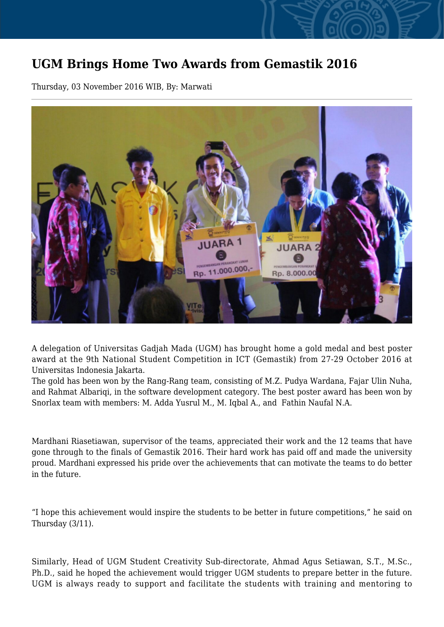## **UGM Brings Home Two Awards from Gemastik 2016**

Thursday, 03 November 2016 WIB, By: Marwati



A delegation of Universitas Gadjah Mada (UGM) has brought home a gold medal and best poster award at the 9th National Student Competition in ICT (Gemastik) from 27-29 October 2016 at Universitas Indonesia Jakarta.

The gold has been won by the Rang-Rang team, consisting of M.Z. Pudya Wardana, Fajar Ulin Nuha, and Rahmat Albariqi, in the software development category. The best poster award has been won by Snorlax team with members: M. Adda Yusrul M., M. Iqbal A., and Fathin Naufal N.A.

Mardhani Riasetiawan, supervisor of the teams, appreciated their work and the 12 teams that have gone through to the finals of Gemastik 2016. Their hard work has paid off and made the university proud. Mardhani expressed his pride over the achievements that can motivate the teams to do better in the future.

"I hope this achievement would inspire the students to be better in future competitions," he said on Thursday (3/11).

Similarly, Head of UGM Student Creativity Sub-directorate, Ahmad Agus Setiawan, S.T., M.Sc., Ph.D., said he hoped the achievement would trigger UGM students to prepare better in the future. UGM is always ready to support and facilitate the students with training and mentoring to